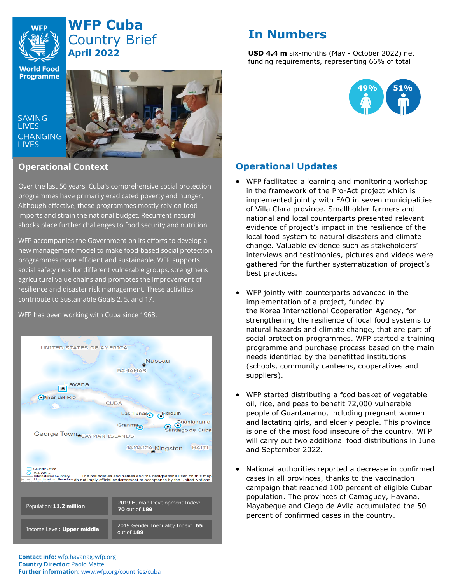

# **WFP Cuba** Country Brief **April 2022**

# **In Numbers**

**USD 4.4 m** six-months (May - October 2022) net funding requirements, representing 66% of total



**SAVING LIVES CHANGING LIVES** 



# **Operational Context**

Over the last 50 years, Cuba's comprehensive social protection programmes have primarily eradicated poverty and hunger. Although effective, these programmes mostly rely on food imports and strain the national budget. Recurrent natural shocks place further challenges to food security and nutrition.

WFP accompanies the Government on its efforts to develop a new management model to make food-based social protection programmes more efficient and sustainable. WFP supports social safety nets for different vulnerable groups, strengthens agricultural value chains and promotes the improvement of resilience and disaster risk management. These activities contribute to Sustainable Goals 2, 5, and 17.

WFP has been working with Cuba since 1963.





# **Operational Updates**

- WFP facilitated a learning and monitoring workshop in the framework of the Pro-Act project which is implemented jointly with FAO in seven municipalities of Villa Clara province. Smallholder farmers and national and local counterparts presented relevant evidence of project's impact in the resilience of the local food system to natural disasters and climate change. Valuable evidence such as stakeholders' interviews and testimonies, pictures and videos were gathered for the further systematization of project's best practices.
- WFP jointly with counterparts advanced in the implementation of a project, funded by the Korea International Cooperation Agency, for strengthening the resilience of local food systems to natural hazards and climate change, that are part of social protection programmes. WFP started a training programme and purchase process based on the main needs identified by the benefitted institutions (schools, community canteens, cooperatives and suppliers).
- WFP started distributing a food basket of vegetable oil, rice, and peas to benefit 72,000 vulnerable people of Guantanamo, including pregnant women and lactating girls, and elderly people. This province is one of the most food insecure of the country. WFP will carry out two additional food distributions in June and September 2022.
- National authorities reported a decrease in confirmed cases in all provinces, thanks to the vaccination campaign that reached 100 percent of eligible Cuban population. The provinces of Camaguey, Havana, Mayabeque and Ciego de Avila accumulated the 50 percent of confirmed cases in the country.

**Contact info:** wfp.havana@wfp.org **Country Director:** Paolo Mattei **Further information:** [www.wfp.org/countries/cuba](http://www.wfp.org/countries/cuba)